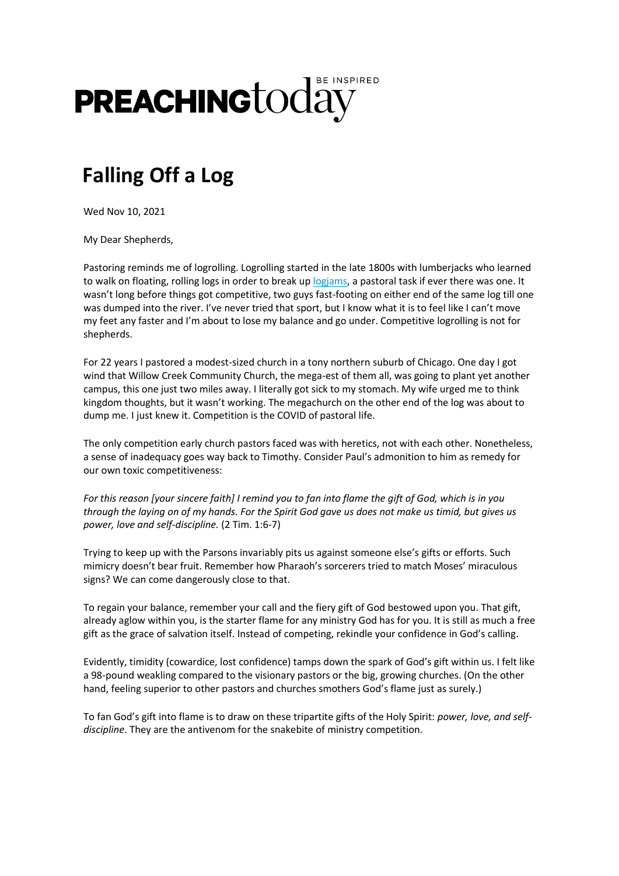## **PREACHING**today

## **Falling Off a Log**

Wed Nov 10, 2021

My Dear Shepherds,

Pastoring reminds me of logrolling. Logrolling started in the late 1800s with lumberjacks who learned to walk on floating, rolling logs in order to break up [logjams,](https://christianitytoday.lt.emlnk1.com/Prod/link-tracker?redirectUrl=aHR0cHMlM0ElMkYlMkZ3d3cucHJlYWNoaW5ndG9kYXkuY29tJTJGeW91ci1zb3VsJTJGcHJlYWNoZXItZGV2b3Rpb25zJTJGbG9ncm9sbGluZy1hbmQtbG9namFtcy5odG1sJTNGdXRtX3NvdXJjZSUzRFByZWFjaGluZytUb2RheStOZXdzbGV0dGVyJTI2dXRtX21lZGl1bSUzRE5ld3NsZXR0ZXIlMjZ1dG1fdGVybSUzRDE3NTk1JTI2dXRtX2NvbnRlbnQlM0Q3NTI3JTI2dXRtX2NhbXBhaWduJTNEZW1haWw=&sig=B38AAvG9kspssJoK4uY49JYTwtzGoMdoK1TpNKJd1Rff&iat=1636556997&a=%7C%7C26374210%7C%7C&account=christianitytoday%2Eactivehosted%2Ecom&email=WNrt%2B5TKfGDXMQcKMAaDfqwwviZ9C%2FPHwqGSXHenP7w%3D&s=de7fb3caa0fe68d69ae093ad727f7ce9&i=3590A7527A51A232793) a pastoral task if ever there was one. It wasn't long before things got competitive, two guys fast-footing on either end of the same log till one was dumped into the river. I've never tried that sport, but I know what it is to feel like I can't move my feet any faster and I'm about to lose my balance and go under. Competitive logrolling is not for shepherds.

For 22 years I pastored a modest-sized church in a tony northern suburb of Chicago. One day I got wind that Willow Creek Community Church, the mega-est of them all, was going to plant yet another campus, this one just two miles away. I literally got sick to my stomach. My wife urged me to think kingdom thoughts, but it wasn't working. The megachurch on the other end of the log was about to dump me. I just knew it. Competition is the COVID of pastoral life.

The only competition early church pastors faced was with heretics, not with each other. Nonetheless, a sense of inadequacy goes way back to Timothy. Consider Paul's admonition to him as remedy for our own toxic competitiveness:

*For this reason [your sincere faith] I remind you to fan into flame the gift of God, which is in you through the laying on of my hands. For the Spirit God gave us does not make us timid, but gives us power, love and self-discipline.* (2 Tim. 1:6-7)

Trying to keep up with the Parsons invariably pits us against someone else's gifts or efforts. Such mimicry doesn't bear fruit. Remember how Pharaoh's sorcerers tried to match Moses' miraculous signs? We can come dangerously close to that.

To regain your balance, remember your call and the fiery gift of God bestowed upon you. That gift, already aglow within you, is the starter flame for any ministry God has for you. It is still as much a free gift as the grace of salvation itself. Instead of competing, rekindle your confidence in God's calling.

Evidently, timidity (cowardice, lost confidence) tamps down the spark of God's gift within us. I felt like a 98-pound weakling compared to the visionary pastors or the big, growing churches. (On the other hand, feeling superior to other pastors and churches smothers God's flame just as surely.)

To fan God's gift into flame is to draw on these tripartite gifts of the Holy Spirit: *power, love, and selfdiscipline*. They are the antivenom for the snakebite of ministry competition.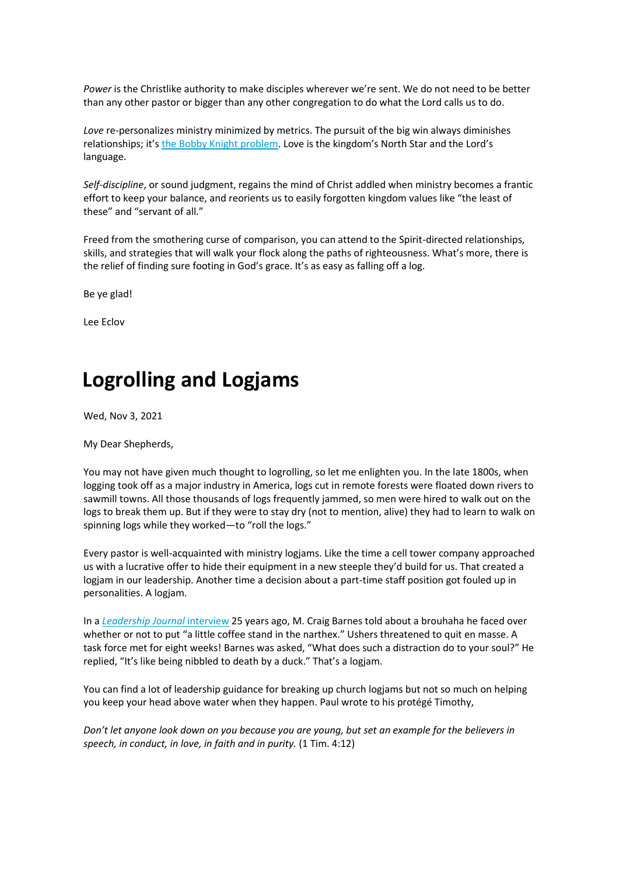*Power* is the Christlike authority to make disciples wherever we're sent. We do not need to be better than any other pastor or bigger than any other congregation to do what the Lord calls us to do.

*Love* re-personalizes ministry minimized by metrics. The pursuit of the big win always diminishes relationships; it's [the Bobby Knight problem](https://christianitytoday.lt.emlnk1.com/Prod/link-tracker?redirectUrl=aHR0cHMlM0ElMkYlMkZ3d3cuY2hyaXN0aWFuaXR5dG9kYXkuY29tJTJGY3QlMkZwb2RjYXN0cyUyRnJpc2UtYW5kLWZhbGwtb2YtbWFycy1oaWxsJTJGYm9iYnkta25pZ2h0LXByb2JsZW0uaHRtbCUzRnV0bV9zb3VyY2UlM0RQcmVhY2hpbmcrVG9kYXkrTmV3c2xldHRlciUyNnV0bV9tZWRpdW0lM0ROZXdzbGV0dGVyJTI2dXRtX3Rlcm0lM0QxNzU5NSUyNnV0bV9jb250ZW50JTNENzUyNyUyNnV0bV9jYW1wYWlnbiUzRGVtYWls&sig=6W1Ubf4AagRDJzTPbC9roFmpYbAin4f9XYB4BLdMDX5q&iat=1636556997&a=%7C%7C26374210%7C%7C&account=christianitytoday%2Eactivehosted%2Ecom&email=WNrt%2B5TKfGDXMQcKMAaDfqwwviZ9C%2FPHwqGSXHenP7w%3D&s=de7fb3caa0fe68d69ae093ad727f7ce9&i=3590A7527A51A232794). Love is the kingdom's North Star and the Lord's language.

*Self-discipline*, or sound judgment, regains the mind of Christ addled when ministry becomes a frantic effort to keep your balance, and reorients us to easily forgotten kingdom values like "the least of these" and "servant of all."

Freed from the smothering curse of comparison, you can attend to the Spirit-directed relationships, skills, and strategies that will walk your flock along the paths of righteousness. What's more, there is the relief of finding sure footing in God's grace. It's as easy as falling off a log.

Be ye glad!

Lee Eclov

## **Logrolling and Logjams**

Wed, Nov 3, 2021

My Dear Shepherds,

You may not have given much thought to logrolling, so let me enlighten you. In the late 1800s, when logging took off as a major industry in America, logs cut in remote forests were floated down rivers to sawmill towns. All those thousands of logs frequently jammed, so men were hired to walk out on the logs to break them up. But if they were to stay dry (not to mention, alive) they had to learn to walk on spinning logs while they worked—to "roll the logs."

Every pastor is well-acquainted with ministry logjams. Like the time a cell tower company approached us with a lucrative offer to hide their equipment in a new steeple they'd build for us. That created a logjam in our leadership. Another time a decision about a part-time staff position got fouled up in personalities. A logjam.

In a *[Leadership Journal](https://christianitytoday.lt.emlnk1.com/Prod/link-tracker?redirectUrl=aHR0cHMlM0ElMkYlMkZ3d3cuY2hyaXN0aWFuaXR5dG9kYXkuY29tJTJGcGFzdG9ycyUyRjE5OTglMkZ3aW50ZXIlMkY4bDEwMjAuaHRtbCUzRnV0bV9zb3VyY2UlM0RQcmVhY2hpbmcrVG9kYXkrTmV3c2xldHRlciUyNnV0bV9tZWRpdW0lM0ROZXdzbGV0dGVyJTI2dXRtX3Rlcm0lM0QxNzU5NSUyNnV0bV9jb250ZW50JTNENzQ1OCUyNnV0bV9jYW1wYWlnbiUzRGVtYWls&sig=42MmNWkzXVMxsakNeELmgxhyWKTiL4SsQvhc7H7RWb76&iat=1635948338&a=%7C%7C26374210%7C%7C&account=christianitytoday%2Eactivehosted%2Ecom&email=WNrt%2B5TKfGDXMQcKMAaDfqwwviZ9C%2FPHwqGSXHenP7w%3D&s=de7fb3caa0fe68d69ae093ad727f7ce9&i=3532A7458A51A229612)* interview 25 years ago, M. Craig Barnes told about a brouhaha he faced over whether or not to put "a little coffee stand in the narthex." Ushers threatened to quit en masse. A task force met for eight weeks! Barnes was asked, "What does such a distraction do to your soul?" He replied, "It's like being nibbled to death by a duck." That's a logjam.

You can find a lot of leadership guidance for breaking up church logjams but not so much on helping you keep your head above water when they happen. Paul wrote to his protégé Timothy,

*Don't let anyone look down on you because you are young, but set an example for the believers in speech, in conduct, in love, in faith and in purity.* (1 Tim. 4:12)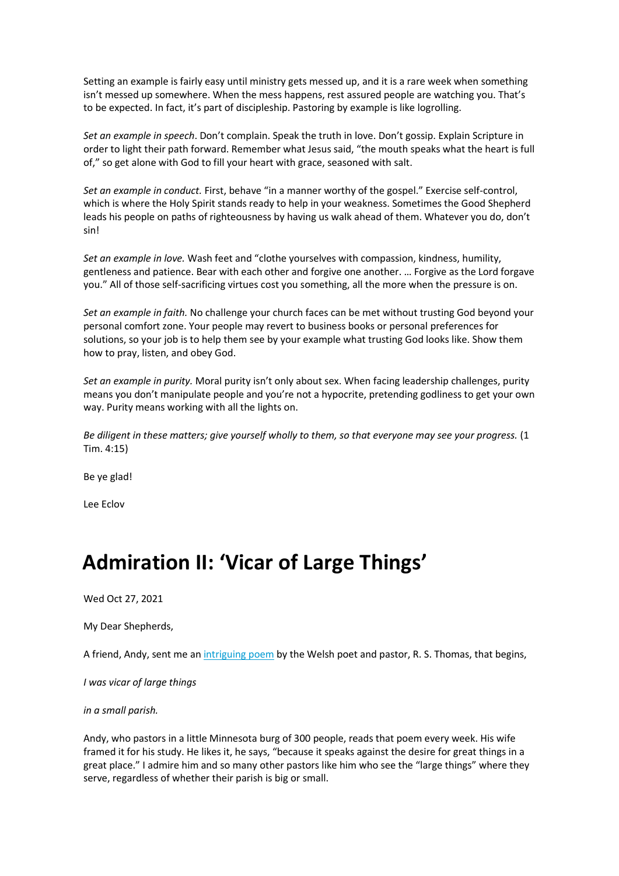Setting an example is fairly easy until ministry gets messed up, and it is a rare week when something isn't messed up somewhere. When the mess happens, rest assured people are watching you. That's to be expected. In fact, it's part of discipleship. Pastoring by example is like logrolling.

*Set an example in speech*. Don't complain. Speak the truth in love. Don't gossip. Explain Scripture in order to light their path forward. Remember what Jesus said, "the mouth speaks what the heart is full of," so get alone with God to fill your heart with grace, seasoned with salt.

*Set an example in conduct.* First, behave "in a manner worthy of the gospel." Exercise self-control, which is where the Holy Spirit stands ready to help in your weakness. Sometimes the Good Shepherd leads his people on paths of righteousness by having us walk ahead of them. Whatever you do, don't sin!

*Set an example in love.* Wash feet and "clothe yourselves with compassion, kindness, humility, gentleness and patience. Bear with each other and forgive one another. … Forgive as the Lord forgave you." All of those self-sacrificing virtues cost you something, all the more when the pressure is on.

*Set an example in faith.* No challenge your church faces can be met without trusting God beyond your personal comfort zone. Your people may revert to business books or personal preferences for solutions, so your job is to help them see by your example what trusting God looks like. Show them how to pray, listen, and obey God.

*Set an example in purity.* Moral purity isn't only about sex. When facing leadership challenges, purity means you don't manipulate people and you're not a hypocrite, pretending godliness to get your own way. Purity means working with all the lights on.

*Be diligent in these matters; give yourself wholly to them, so that everyone may see your progress.* (1 Tim. 4:15)

Be ye glad!

Lee Eclov

## **Admiration II: 'Vicar of Large Things'**

Wed Oct 27, 2021

My Dear Shepherds,

A friend, Andy, sent me a[n intriguing poem](https://christianitytoday.lt.emlnk1.com/Prod/link-tracker?redirectUrl=aHR0cHMlM0ElMkYlMkZ3d3cucG9ldGljb3VzLmNvbSUyRnItcy10aG9tYXMlMkZpLXdhcy12aWNhci1vZi1sYXJnZS10aGluZ3MlM0Z1dG1fc291cmNlJTNEUHJlYWNoaW5nK1RvZGF5K05ld3NsZXR0ZXIlMjZ1dG1fbWVkaXVtJTNETmV3c2xldHRlciUyNnV0bV90ZXJtJTNEMTc1OTUlMjZ1dG1fY29udGVudCUzRDczNzQlMjZ1dG1fY2FtcGFpZ24lM0RlbWFpbA==&sig=HK7G46jRPX1k6BFp3iF5dAWBo6qK9aGTceCK6ZGGu7z9&iat=1635343918&a=%7C%7C26374210%7C%7C&account=christianitytoday%2Eactivehosted%2Ecom&email=WNrt%2B5TKfGDXMQcKMAaDfqwwviZ9C%2FPHwqGSXHenP7w%3D&s=de7fb3caa0fe68d69ae093ad727f7ce9&i=3449A7374A51A225249) by the Welsh poet and pastor, R. S. Thomas, that begins,

*I was vicar of large things*

*in a small parish.* 

Andy, who pastors in a little Minnesota burg of 300 people, reads that poem every week. His wife framed it for his study. He likes it, he says, "because it speaks against the desire for great things in a great place." I admire him and so many other pastors like him who see the "large things" where they serve, regardless of whether their parish is big or small.